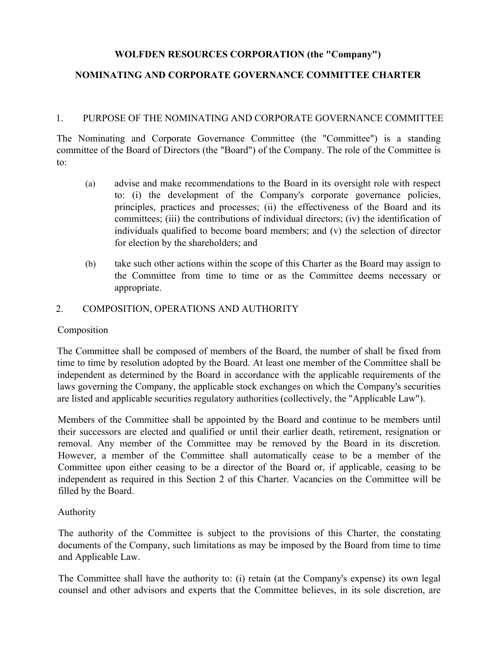# **WOLFDEN RESOURCES CORPORATION (the "Company")**

# **NOMINATING AND CORPORATE GOVERNANCE COMMITTEE CHARTER**

#### 1. PURPOSE OF THE NOMINATING AND CORPORATE GOVERNANCE COMMITTEE

The Nominating and Corporate Governance Committee (the "Committee") is a standing committee of the Board of Directors (the "Board") of the Company. The role of the Committee is to:

- (a) advise and make recommendations to the Board in its oversight role with respect to: (i) the development of the Company's corporate governance policies, principles, practices and processes; (ii) the effectiveness of the Board and its committees; (iii) the contributions of individual directors; (iv) the identification of individuals qualified to become board members; and (v) the selection of director for election by the shareholders; and
- (b) take such other actions within the scope of this Charter as the Board may assign to the Committee from time to time or as the Committee deems necessary or appropriate.

### 2. COMPOSITION, OPERATIONS AND AUTHORITY

### Composition

The Committee shall be composed of members of the Board, the number of shall be fixed from time to time by resolution adopted by the Board. At least one member of the Committee shall be independent as determined by the Board in accordance with the applicable requirements of the laws governing the Company, the applicable stock exchanges on which the Company's securities are listed and applicable securities regulatory authorities (collectively, the "Applicable Law").

Members of the Committee shall be appointed by the Board and continue to be members until their successors are elected and qualified or until their earlier death, retirement, resignation or removal. Any member of the Committee may be removed by the Board in its discretion. However, a member of the Committee shall automatically cease to be a member of the Committee upon either ceasing to be a director of the Board or, if applicable, ceasing to be independent as required in this Section 2 of this Charter. Vacancies on the Committee will be filled by the Board.

### Authority

The authority of the Committee is subject to the provisions of this Charter, the constating documents of the Company, such limitations as may be imposed by the Board from time to time and Applicable Law.

The Committee shall have the authority to: (i) retain (at the Company's expense) its own legal counsel and other advisors and experts that the Committee believes, in its sole discretion, are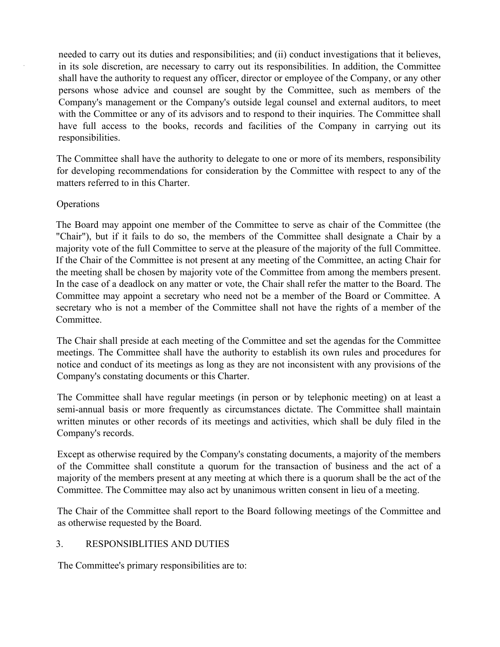needed to carry out its duties and responsibilities; and (ii) conduct investigations that it believes, in its sole discretion, are necessary to carry out its responsibilities. In addition, the Committee shall have the authority to request any officer, director or employee of the Company, or any other persons whose advice and counsel are sought by the Committee, such as members of the Company's management or the Company's outside legal counsel and external auditors, to meet with the Committee or any of its advisors and to respond to their inquiries. The Committee shall have full access to the books, records and facilities of the Company in carrying out its responsibilities.

The Committee shall have the authority to delegate to one or more of its members, responsibility for developing recommendations for consideration by the Committee with respect to any of the matters referred to in this Charter.

# **Operations**

The Board may appoint one member of the Committee to serve as chair of the Committee (the "Chair"), but if it fails to do so, the members of the Committee shall designate a Chair by a majority vote of the full Committee to serve at the pleasure of the majority of the full Committee. If the Chair of the Committee is not present at any meeting of the Committee, an acting Chair for the meeting shall be chosen by majority vote of the Committee from among the members present. In the case of a deadlock on any matter or vote, the Chair shall refer the matter to the Board. The Committee may appoint a secretary who need not be a member of the Board or Committee. A secretary who is not a member of the Committee shall not have the rights of a member of the Committee.

The Chair shall preside at each meeting of the Committee and set the agendas for the Committee meetings. The Committee shall have the authority to establish its own rules and procedures for notice and conduct of its meetings as long as they are not inconsistent with any provisions of the Company's constating documents or this Charter.

The Committee shall have regular meetings (in person or by telephonic meeting) on at least a semi-annual basis or more frequently as circumstances dictate. The Committee shall maintain written minutes or other records of its meetings and activities, which shall be duly filed in the Company's records.

Except as otherwise required by the Company's constating documents, a majority of the members of the Committee shall constitute a quorum for the transaction of business and the act of a majority of the members present at any meeting at which there is a quorum shall be the act of the Committee. The Committee may also act by unanimous written consent in lieu of a meeting.

The Chair of the Committee shall report to the Board following meetings of the Committee and as otherwise requested by the Board.

# 3. RESPONSIBLITIES AND DUTIES

The Committee's primary responsibilities are to: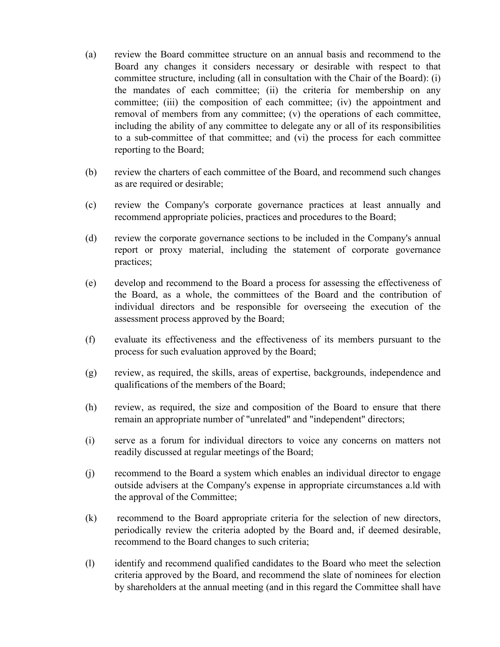- (a) review the Board committee structure on an annual basis and recommend to the Board any changes it considers necessary or desirable with respect to that committee structure, including (all in consultation with the Chair of the Board): (i) the mandates of each committee; (ii) the criteria for membership on any committee; (iii) the composition of each committee; (iv) the appointment and removal of members from any committee; (v) the operations of each committee, including the ability of any committee to delegate any or all of its responsibilities to a sub-committee of that committee; and (vi) the process for each committee reporting to the Board;
- (b) review the charters of each committee of the Board, and recommend such changes as are required or desirable;
- (c) review the Company's corporate governance practices at least annually and recommend appropriate policies, practices and procedures to the Board;
- (d) review the corporate governance sections to be included in the Company's annual report or proxy material, including the statement of corporate governance practices;
- (e) develop and recommend to the Board a process for assessing the effectiveness of the Board, as a whole, the committees of the Board and the contribution of individual directors and be responsible for overseeing the execution of the assessment process approved by the Board;
- (f) evaluate its effectiveness and the effectiveness of its members pursuant to the process for such evaluation approved by the Board;
- (g) review, as required, the skills, areas of expertise, backgrounds, independence and qualifications of the members of the Board;
- (h) review, as required, the size and composition of the Board to ensure that there remain an appropriate number of "unrelated" and "independent" directors;
- (i) serve as a forum for individual directors to voice any concerns on matters not readily discussed at regular meetings of the Board;
- (j) recommend to the Board a system which enables an individual director to engage outside advisers at the Company's expense in appropriate circumstances a.ld with the approval of the Committee;
- (k) recommend to the Board appropriate criteria for the selection of new directors, periodically review the criteria adopted by the Board and, if deemed desirable, recommend to the Board changes to such criteria;
- (l) identify and recommend qualified candidates to the Board who meet the selection criteria approved by the Board, and recommend the slate of nominees for election by shareholders at the annual meeting (and in this regard the Committee shall have